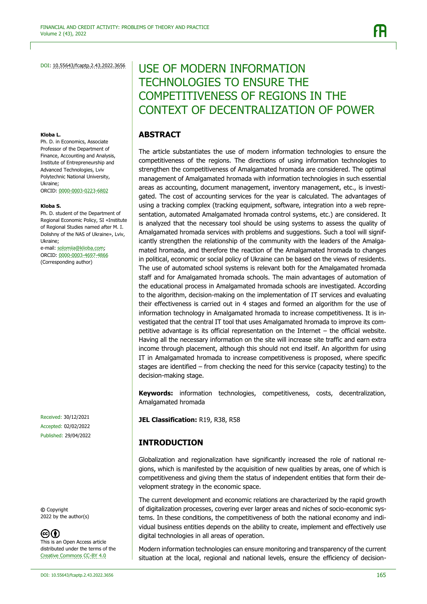DOI: [10.55643/fcaptp.2.43.2022.3656](https://doi.org/10.55643/fcaptp.2.43.2022.3656)

#### **Kloba L.**

Ph. D. in Economics, Associate Professor of the Department of Finance, Accounting and Analysis, Institute of Entrepreneurship and Advanced Technologies, Lviv Polytechnic National University, Ukraine;

ORCID: [0000-0003-0223-6802](https://orcid.org/0000-0003-0223-6802)

#### **Kloba S.**

Ph. D. student of the Department of Regional Economic Policy, SI «Institute of Regional Studies named after M. I. Dolishny of the NAS of Ukraine», Lviv, Ukraine;

e-mail: [solomiia@klioba.com;](mailto:solomiia@klioba.com) ORCID: [0000-0003-4697-4866](https://orcid.org/0000-0003-4697-4866) (Corresponding author)

Received: 30/12/2021 Accepted: 02/02/2022 Published: 29/04/2022

**©** Copyright 2022 by the author(s)



This is an Open Access article distributed under the terms of th[e](https://creativecommons.org/licenses/by/4.0/) [Creative Commons CC-BY 4.0](https://creativecommons.org/licenses/by/4.0/)

# USE OF MODERN INFORMATION TECHNOLOGIES TO ENSURE THE COMPETITIVENESS OF REGIONS IN THE CONTEXT OF DECENTRALIZATION OF POWER

#### **ABSTRACT**

The article substantiates the use of modern information technologies to ensure the competitiveness of the regions. The directions of using information technologies to strengthen the competitiveness of Amalgamated hromada are considered. The optimal management of Amalgamated hromada with information technologies in such essential areas as accounting, document management, inventory management, etc., is investigated. The cost of accounting services for the year is calculated. The advantages of using a tracking complex (tracking equipment, software, integration into a web representation, automated Amalgamated hromada control systems, etc.) are considered. It is analyzed that the necessary tool should be using systems to assess the quality of Amalgamated hromada services with problems and suggestions. Such a tool will significantly strengthen the relationship of the community with the leaders of the Amalgamated hromada, and therefore the reaction of the Amalgamated hromada to changes in political, economic or social policy of Ukraine can be based on the views of residents. The use of automated school systems is relevant both for the Amalgamated hromada staff and for Amalgamated hromada schools. The main advantages of automation of the educational process in Amalgamated hromada schools are investigated. According to the algorithm, decision-making on the implementation of IT services and evaluating their effectiveness is carried out in 4 stages and formed an algorithm for the use of information technology in Amalgamated hromada to increase competitiveness. It is investigated that the central IT tool that uses Amalgamated hromada to improve its competitive advantage is its official representation on the Internet – the official website. Having all the necessary information on the site will increase site traffic and earn extra income through placement, although this should not end itself. An algorithm for using IT in Amalgamated hromada to increase competitiveness is proposed, where specific stages are identified – from checking the need for this service (capacity testing) to the decision-making stage.

**Keywords:** information technologies, competitiveness, costs, decentralization, Amalgamated hromada

**JEL Classification:** R19, R38, R58

#### **INTRODUCTION**

Globalization and regionalization have significantly increased the role of national regions, which is manifested by the acquisition of new qualities by areas, one of which is competitiveness and giving them the status of independent entities that form their development strategy in the economic space.

The current development and economic relations are characterized by the rapid growth of digitalization processes, covering ever larger areas and niches of socio-economic systems. In these conditions, the competitiveness of both the national economy and individual business entities depends on the ability to create, implement and effectively use digital technologies in all areas of operation.

Modern information technologies can ensure monitoring and transparency of the current situation at the local, regional and national levels, ensure the efficiency of decision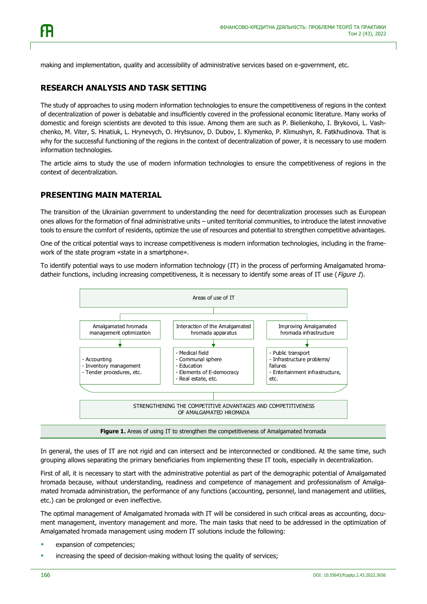making and implementation, quality and accessibility of administrative services based on e-government, etc.

### **RESEARCH ANALYSIS AND TASK SETTING**

The study of approaches to using modern information technologies to ensure the competitiveness of regions in the context of decentralization of power is debatable and insufficiently covered in the professional economic literature. Many works of domestic and foreign scientists are devoted to this issue. Among them are such as P. Bielienkoho, I. Brykovoi, L. Vashchenko, M. Viter, S. Hnatiuk, L. Hrynevych, O. Hrytsunov, D. Dubov, I. Klymenko, P. Klimushyn, R. Fatkhudinova. That is why for the successful functioning of the regions in the context of decentralization of power, it is necessary to use modern information technologies.

The article aims to study the use of modern information technologies to ensure the competitiveness of regions in the context of decentralization.

#### **PRESENTING MAIN MATERIAL**

The transition of the Ukrainian government to understanding the need for decentralization processes such as European ones allows for the formation of final administrative units – united territorial communities, to introduce the latest innovative tools to ensure the comfort of residents, optimize the use of resources and potential to strengthen competitive advantages.

One of the critical potential ways to increase competitiveness is modern information technologies, including in the framework of the state program «state in a smartphone».

To identify potential ways to use modern information technology (IT) in the process of performing Amalgamated hromadatheir functions, including increasing competitiveness, it is necessary to identify some areas of IT use (Figure 1).



**Figure 1.** Areas of using IT to strengthen the competitiveness of Amalgamated hromada

In general, the uses of IT are not rigid and can intersect and be interconnected or conditioned. At the same time, such grouping allows separating the primary beneficiaries from implementing these IT tools, especially in decentralization.

First of all, it is necessary to start with the administrative potential as part of the demographic potential of Amalgamated hromada because, without understanding, readiness and competence of management and professionalism of Amalgamated hromada administration, the performance of any functions (accounting, personnel, land management and utilities, etc.) can be prolonged or even ineffective.

The optimal management of Amalgamated hromada with IT will be considered in such critical areas as accounting, document management, inventory management and more. The main tasks that need to be addressed in the optimization of Amalgamated hromada management using modern IT solutions include the following:

- expansion of competencies;
- increasing the speed of decision-making without losing the quality of services;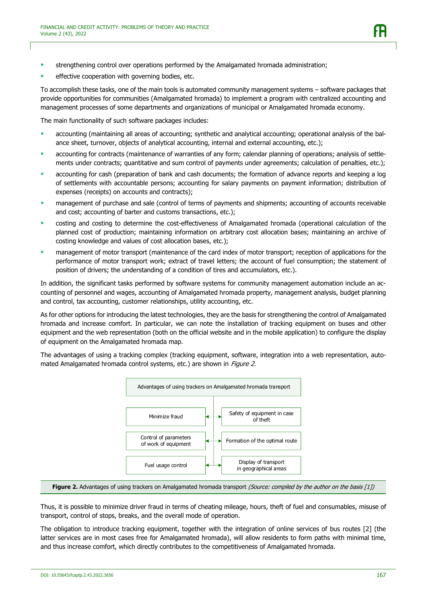- strengthening control over operations performed by the Amalgamated hromada administration;
- **EXECCE** effective cooperation with governing bodies, etc.

To accomplish these tasks, one of the main tools is automated community management systems – software packages that provide opportunities for communities (Amalgamated hromada) to implement a program with centralized accounting and management processes of some departments and organizations of municipal or Amalgamated hromada economy.

The main functionality of such software packages includes:

- accounting (maintaining all areas of accounting; synthetic and analytical accounting; operational analysis of the balance sheet, turnover, objects of analytical accounting, internal and external accounting, etc.);
- accounting for contracts (maintenance of warranties of any form; calendar planning of operations; analysis of settlements under contracts; quantitative and sum control of payments under agreements; calculation of penalties, etc.);
- accounting for cash (preparation of bank and cash documents; the formation of advance reports and keeping a log of settlements with accountable persons; accounting for salary payments on payment information; distribution of expenses (receipts) on accounts and contracts);
- **management of purchase and sale (control of terms of payments and shipments; accounting of accounts receivable** and cost; accounting of barter and customs transactions, etc.);
- costing and costing to determine the cost-effectiveness of Amalgamated hromada (operational calculation of the planned cost of production; maintaining information on arbitrary cost allocation bases; maintaining an archive of costing knowledge and values of cost allocation bases, etc.);
- management of motor transport (maintenance of the card index of motor transport; reception of applications for the performance of motor transport work; extract of travel letters; the account of fuel consumption; the statement of position of drivers; the understanding of a condition of tires and accumulators, etc.).

In addition, the significant tasks performed by software systems for community management automation include an accounting of personnel and wages, accounting of Amalgamated hromada property, management analysis, budget planning and control, tax accounting, customer relationships, utility accounting, etc.

As for other options for introducing the latest technologies, they are the basis for strengthening the control of Amalgamated hromada and increase comfort. In particular, we can note the installation of tracking equipment on buses and other equipment and the web representation (both on the official website and in the mobile application) to configure the display of equipment on the Amalgamated hromada map.

The advantages of using a tracking complex (tracking equipment, software, integration into a web representation, automated Amalgamated hromada control systems, etc.) are shown in Figure 2.



**Figure 2.** Advantages of using trackers on Amalgamated hromada transport (Source: compiled by the author on the basis [1])

Thus, it is possible to minimize driver fraud in terms of cheating mileage, hours, theft of fuel and consumables, misuse of transport, control of stops, breaks, and the overall mode of operation.

The obligation to introduce tracking equipment, together with the integration of online services of bus routes [2] (the latter services are in most cases free for Amalgamated hromada), will allow residents to form paths with minimal time, and thus increase comfort, which directly contributes to the competitiveness of Amalgamated hromada.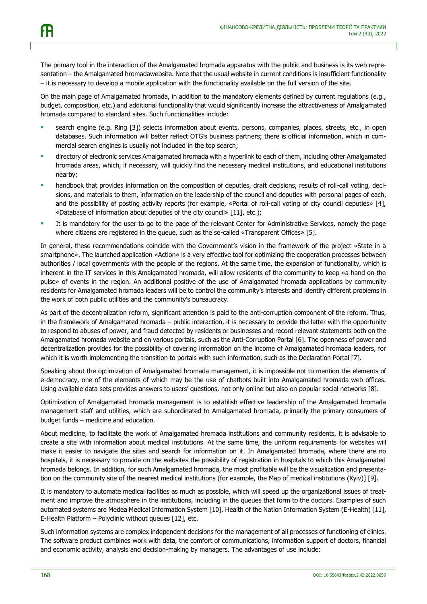The primary tool in the interaction of the Amalgamated hromada apparatus with the public and business is its web representation – the Amalgamated hromadawebsite. Note that the usual website in current conditions is insufficient functionality – it is necessary to develop a mobile application with the functionality available on the full version of the site.

On the main page of Amalgamated hromada, in addition to the mandatory elements defined by current regulations (e.g., budget, composition, etc.) and additional functionality that would significantly increase the attractiveness of Amalgamated hromada compared to standard sites. Such functionalities include:

- search engine (e.g. Ring [3]) selects information about events, persons, companies, places, streets, etc., in open databases. Such information will better reflect OTG's business partners; there is official information, which in commercial search engines is usually not included in the top search;
- **EXECT and increase Amalgamated hromada with a hyperlink to each of them, including other Amalgamated in the system of them** hromada areas, which, if necessary, will quickly find the necessary medical institutions, and educational institutions nearby;
- handbook that provides information on the composition of deputies, draft decisions, results of roll-call voting, decisions, and materials to them, information on the leadership of the council and deputies with personal pages of each, and the possibility of posting activity reports (for example, «Portal of roll-call voting of city council deputies» [4], «Database of information about deputies of the city council» [11], etc.);
- It is mandatory for the user to go to the page of the relevant Center for Administrative Services, namely the page where citizens are registered in the queue, such as the so-called «Transparent Offices» [5].

In general, these recommendations coincide with the Government's vision in the framework of the project «State in a smartphone». The launched application «Action» is a very effective tool for optimizing the cooperation processes between authorities / local governments with the people of the regions. At the same time, the expansion of functionality, which is inherent in the IT services in this Amalgamated hromada, will allow residents of the community to keep «a hand on the pulse» of events in the region. An additional positive of the use of Amalgamated hromada applications by community residents for Amalgamated hromada leaders will be to control the community's interests and identify different problems in the work of both public utilities and the community's bureaucracy.

As part of the decentralization reform, significant attention is paid to the anti-corruption component of the reform. Thus, in the framework of Amalgamated hromada – public interaction, it is necessary to provide the latter with the opportunity to respond to abuses of power, and fraud detected by residents or businesses and record relevant statements both on the Amalgamated hromada website and on various portals, such as the Anti-Corruption Portal [6]. The openness of power and decentralization provides for the possibility of covering information on the income of Amalgamated hromada leaders, for which it is worth implementing the transition to portals with such information, such as the Declaration Portal [7].

Speaking about the optimization of Amalgamated hromada management, it is impossible not to mention the elements of e-democracy, one of the elements of which may be the use of chatbots built into Amalgamated hromada web offices. Using available data sets provides answers to users' questions, not only online but also on popular social networks [8].

Optimization of Amalgamated hromada management is to establish effective leadership of the Amalgamated hromada management staff and utilities, which are subordinated to Amalgamated hromada, primarily the primary consumers of budget funds – medicine and education.

About medicine, to facilitate the work of Amalgamated hromada institutions and community residents, it is advisable to create a site with information about medical institutions. At the same time, the uniform requirements for websites will make it easier to navigate the sites and search for information on it. In Amalgamated hromada, where there are no hospitals, it is necessary to provide on the websites the possibility of registration in hospitals to which this Amalgamated hromada belongs. In addition, for such Amalgamated hromada, the most profitable will be the visualization and presentation on the community site of the nearest medical institutions (for example, the Map of medical institutions (Kyiv)] [9].

It is mandatory to automate medical facilities as much as possible, which will speed up the organizational issues of treatment and improve the atmosphere in the institutions, including in the queues that form to the doctors. Examples of such automated systems are Medea Medical Information System [10], Health of the Nation Information System (E-Health) [11], E-Health Platform – Polyclinic without queues [12], etc.

Such information systems are complex independent decisions for the management of all processes of functioning of clinics. The software product combines work with data, the comfort of communications, information support of doctors, financial and economic activity, analysis and decision-making by managers. The advantages of use include: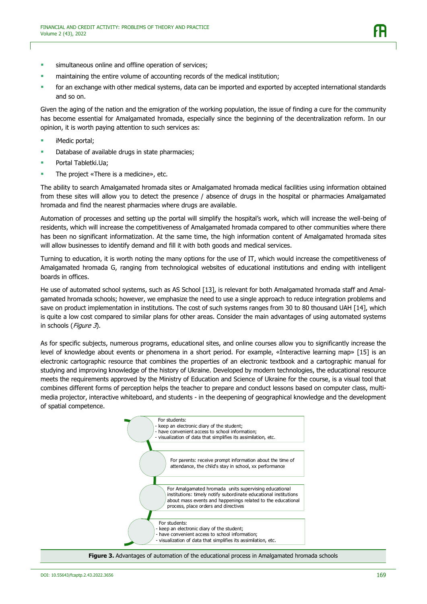- **EXEDENT** simultaneous online and offline operation of services;
- maintaining the entire volume of accounting records of the medical institution;
- **■** for an exchange with other medical systems, data can be imported and exported by accepted international standards and so on.

Given the aging of the nation and the emigration of the working population, the issue of finding a cure for the community has become essential for Amalgamated hromada, especially since the beginning of the decentralization reform. In our opinion, it is worth paying attention to such services as:

- iMedic portal;
- **Database of available drugs in state pharmacies;**
- Portal Tabletki.Ua:
- The project «There is a medicine», etc.

The ability to search Amalgamated hromada sites or Amalgamated hromada medical facilities using information obtained from these sites will allow you to detect the presence / absence of drugs in the hospital or pharmacies Amalgamated hromada and find the nearest pharmacies where drugs are available.

Automation of processes and setting up the portal will simplify the hospital's work, which will increase the well-being of residents, which will increase the competitiveness of Amalgamated hromada compared to other communities where there has been no significant informatization. At the same time, the high information content of Amalgamated hromada sites will allow businesses to identify demand and fill it with both goods and medical services.

Turning to education, it is worth noting the many options for the use of IT, which would increase the competitiveness of Amalgamated hromada G, ranging from technological websites of educational institutions and ending with intelligent boards in offices.

He use of automated school systems, such as AS School [13], is relevant for both Amalgamated hromada staff and Amalgamated hromada schools; however, we emphasize the need to use a single approach to reduce integration problems and save on product implementation in institutions. The cost of such systems ranges from 30 to 80 thousand UAH [14], which is quite a low cost compared to similar plans for other areas. Consider the main advantages of using automated systems in schools (Figure 3).

As for specific subjects, numerous programs, educational sites, and online courses allow you to significantly increase the level of knowledge about events or phenomena in a short period. For example, «Interactive learning map» [15] is an electronic cartographic resource that combines the properties of an electronic textbook and a cartographic manual for studying and improving knowledge of the history of Ukraine. Developed by modern technologies, the educational resource meets the requirements approved by the Ministry of Education and Science of Ukraine for the course, is a visual tool that combines different forms of perception helps the teacher to prepare and conduct lessons based on computer class, multimedia projector, interactive whiteboard, and students - in the deepening of geographical knowledge and the development of spatial competence.

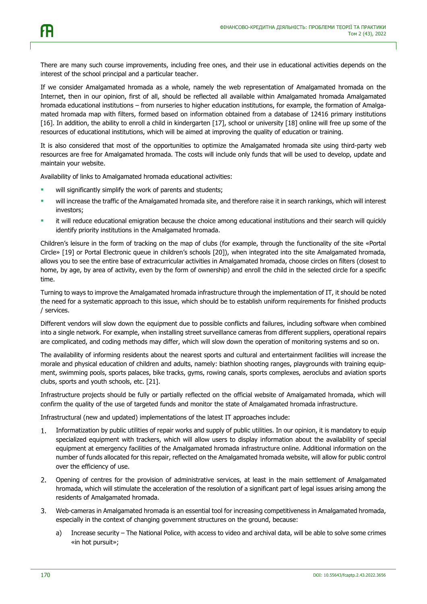There are many such course improvements, including free ones, and their use in educational activities depends on the interest of the school principal and a particular teacher.

If we consider Amalgamated hromada as a whole, namely the web representation of Amalgamated hromada on the Internet, then in our opinion, first of all, should be reflected all available within Amalgamated hromada Amalgamated hromada educational institutions – from nurseries to higher education institutions, for example, the formation of Amalgamated hromada map with filters, formed based on information obtained from a database of 12416 primary institutions [16]. In addition, the ability to enroll a child in kindergarten [17], school or university [18] online will free up some of the resources of educational institutions, which will be aimed at improving the quality of education or training.

It is also considered that most of the opportunities to optimize the Amalgamated hromada site using third-party web resources are free for Amalgamated hromada. The costs will include only funds that will be used to develop, update and maintain your website.

Availability of links to Amalgamated hromada educational activities:

- will significantly simplify the work of parents and students;
- will increase the traffic of the Amalgamated hromada site, and therefore raise it in search rankings, which will interest investors;
- it will reduce educational emigration because the choice among educational institutions and their search will quickly identify priority institutions in the Amalgamated hromada.

Children's leisure in the form of tracking on the map of clubs (for example, through the functionality of the site «Portal Circle» [19] or Portal Electronic queue in children's schools [20]), when integrated into the site Amalgamated hromada, allows you to see the entire base of extracurricular activities in Amalgamated hromada, choose circles on filters (closest to home, by age, by area of activity, even by the form of ownership) and enroll the child in the selected circle for a specific time.

Turning to ways to improve the Amalgamated hromada infrastructure through the implementation of IT, it should be noted the need for a systematic approach to this issue, which should be to establish uniform requirements for finished products / services.

Different vendors will slow down the equipment due to possible conflicts and failures, including software when combined into a single network. For example, when installing street surveillance cameras from different suppliers, operational repairs are complicated, and coding methods may differ, which will slow down the operation of monitoring systems and so on.

The availability of informing residents about the nearest sports and cultural and entertainment facilities will increase the morale and physical education of children and adults, namely: biathlon shooting ranges, playgrounds with training equipment, swimming pools, sports palaces, bike tracks, gyms, rowing canals, sports complexes, aeroclubs and aviation sports clubs, sports and youth schools, etc. [21].

Infrastructure projects should be fully or partially reflected on the official website of Amalgamated hromada, which will confirm the quality of the use of targeted funds and monitor the state of Amalgamated hromada infrastructure.

Infrastructural (new and updated) implementations of the latest IT approaches include:

- Informatization by public utilities of repair works and supply of public utilities. In our opinion, it is mandatory to equip  $\mathbf{1}$ . specialized equipment with trackers, which will allow users to display information about the availability of special equipment at emergency facilities of the Amalgamated hromada infrastructure online. Additional information on the number of funds allocated for this repair, reflected on the Amalgamated hromada website, will allow for public control over the efficiency of use.
- $2.$ Opening of centres for the provision of administrative services, at least in the main settlement of Amalgamated hromada, which will stimulate the acceleration of the resolution of a significant part of legal issues arising among the residents of Amalgamated hromada.
- $3<sub>1</sub>$ Web-cameras in Amalgamated hromada is an essential tool for increasing competitiveness in Amalgamated hromada, especially in the context of changing government structures on the ground, because:
	- a) Increase security The National Police, with access to video and archival data, will be able to solve some crimes «in hot pursuit»;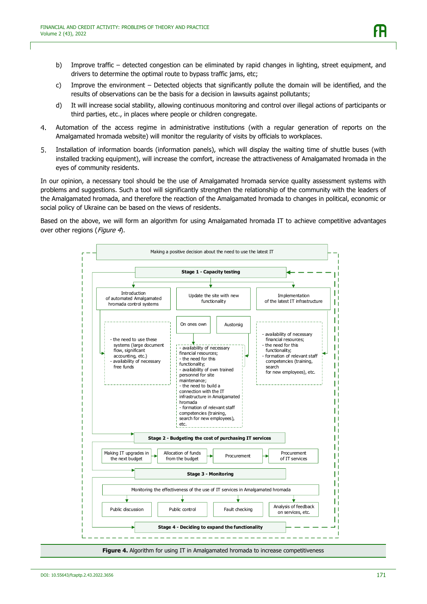- b) Improve traffic detected congestion can be eliminated by rapid changes in lighting, street equipment, and drivers to determine the optimal route to bypass traffic jams, etc;
- c) Improve the environment Detected objects that significantly pollute the domain will be identified, and the results of observations can be the basis for a decision in lawsuits against pollutants;
- d) It will increase social stability, allowing continuous monitoring and control over illegal actions of participants or third parties, etc., in places where people or children congregate.
- Automation of the access regime in administrative institutions (with a regular generation of reports on the 4. Amalgamated hromada website) will monitor the regularity of visits by officials to workplaces.
- Installation of information boards (information panels), which will display the waiting time of shuttle buses (with 5. installed tracking equipment), will increase the comfort, increase the attractiveness of Amalgamated hromada in the eyes of community residents.

In our opinion, a necessary tool should be the use of Amalgamated hromada service quality assessment systems with problems and suggestions. Such a tool will significantly strengthen the relationship of the community with the leaders of the Amalgamated hromada, and therefore the reaction of the Amalgamated hromada to changes in political, economic or social policy of Ukraine can be based on the views of residents.

Based on the above, we will form an algorithm for using Amalgamated hromada IT to achieve competitive advantages over other regions (Figure 4).

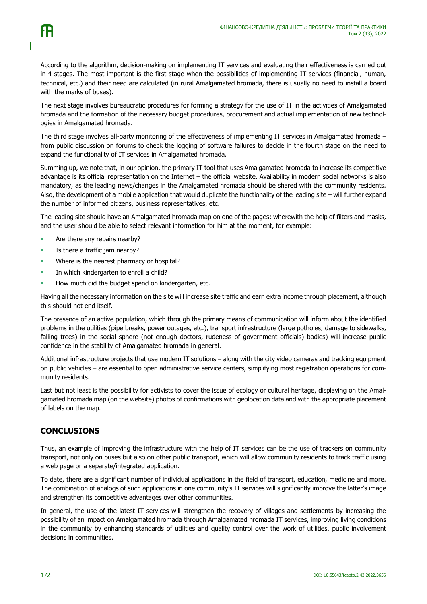According to the algorithm, decision-making on implementing IT services and evaluating their effectiveness is carried out in 4 stages. The most important is the first stage when the possibilities of implementing IT services (financial, human, technical, etc.) and their need are calculated (in rural Amalgamated hromada, there is usually no need to install a board with the marks of buses).

The next stage involves bureaucratic procedures for forming a strategy for the use of IT in the activities of Amalgamated hromada and the formation of the necessary budget procedures, procurement and actual implementation of new technologies in Amalgamated hromada.

The third stage involves all-party monitoring of the effectiveness of implementing IT services in Amalgamated hromada – from public discussion on forums to check the logging of software failures to decide in the fourth stage on the need to expand the functionality of IT services in Amalgamated hromada.

Summing up, we note that, in our opinion, the primary IT tool that uses Amalgamated hromada to increase its competitive advantage is its official representation on the Internet – the official website. Availability in modern social networks is also mandatory, as the leading news/changes in the Amalgamated hromada should be shared with the community residents. Also, the development of a mobile application that would duplicate the functionality of the leading site – will further expand the number of informed citizens, business representatives, etc.

The leading site should have an Amalgamated hromada map on one of the pages; wherewith the help of filters and masks, and the user should be able to select relevant information for him at the moment, for example:

- **EXECUTE:** Are there any repairs nearby?
- Is there a traffic jam nearby?
- **Where is the nearest pharmacy or hospital?**
- **EXECUTE:** In which kindergarten to enroll a child?
- **How much did the budget spend on kindergarten, etc.**

Having all the necessary information on the site will increase site traffic and earn extra income through placement, although this should not end itself.

The presence of an active population, which through the primary means of communication will inform about the identified problems in the utilities (pipe breaks, power outages, etc.), transport infrastructure (large potholes, damage to sidewalks, falling trees) in the social sphere (not enough doctors, rudeness of government officials) bodies) will increase public confidence in the stability of Amalgamated hromada in general.

Additional infrastructure projects that use modern IT solutions – along with the city video cameras and tracking equipment on public vehicles – are essential to open administrative service centers, simplifying most registration operations for community residents.

Last but not least is the possibility for activists to cover the issue of ecology or cultural heritage, displaying on the Amalgamated hromada map (on the website) photos of confirmations with geolocation data and with the appropriate placement of labels on the map.

#### **CONCLUSIONS**

Thus, an example of improving the infrastructure with the help of IT services can be the use of trackers on community transport, not only on buses but also on other public transport, which will allow community residents to track traffic using a web page or a separate/integrated application.

To date, there are a significant number of individual applications in the field of transport, education, medicine and more. The combination of analogs of such applications in one community's IT services will significantly improve the latter's image and strengthen its competitive advantages over other communities.

In general, the use of the latest IT services will strengthen the recovery of villages and settlements by increasing the possibility of an impact on Amalgamated hromada through Amalgamated hromada IT services, improving living conditions in the community by enhancing standards of utilities and quality control over the work of utilities, public involvement decisions in communities.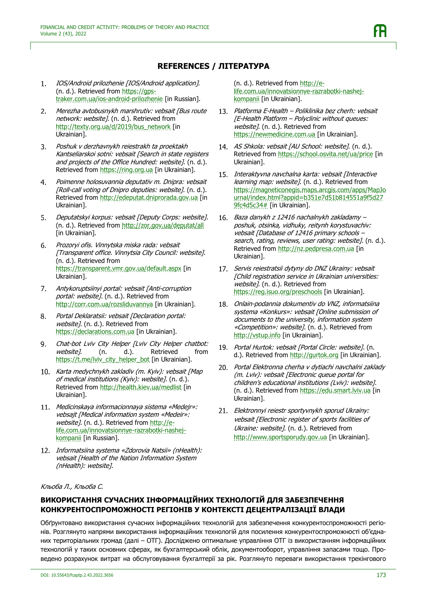## **REFERENCES / ЛІТЕРАТУРА**

- 1. IOS/Android prilozhenie [IOS/Android application]. (n. d.). Retrieved from [https://gps](https://gps-traker.com.ua/ios-android-prilozhenie)[traker.com.ua/ios-android-prilozhenie](https://gps-traker.com.ua/ios-android-prilozhenie) [in Russian].
- $2.$ Merezha avtobusnykh marshrutiv: vebsait [Bus route network: website]. (n. d.). Retrieved from [http://texty.org.ua/d/2019/bus\\_network](http://texty.org.ua/d/2019/bus_network) [in Ukrainian].
- $3.$ Poshuk v derzhavnykh reiestrakh ta proektakh Kantseliarskoi sotni: vebsait [Search in state registers and projects of the Office Hundred: website]. (n. d.). Retrieved from [https://ring.org.ua](https://ring.org.ua/) [in Ukrainian].
- $\overline{4}$ Poimenne holosuvannia deputativ m. Dnipra: vebsait [Roll-call voting of Dnipro deputies: website]. (n. d.). Retrieved from [http://edeputat.dniprorada.gov.ua](http://edeputat.dniprorada.gov.ua/) [in Ukrainian].
- $5 -$ Deputatskyi korpus: vebsait [Deputy Corps: website]. (n. d.). Retrieved from <http://zor.gov.ua/deputat/all> [in Ukrainian].
- 6. Prozoryi ofis. Vinnytska miska rada: vebsait [Transparent office. Vinnytsia City Council: website]. (n. d.). Retrieved from <https://transparent.vmr.gov.ua/default.aspx> [in Ukrainian].
- Antykoruptsiinyi portal: vebsait [Anti-corruption portal: website]. (n. d.). Retrieved from <http://corr.com.ua/rozsliduvannya> [in Ukrainian].
- $8<sub>1</sub>$ Portal Deklaratsii: vebsait [Declaration portal: website]. (n. d.). Retrieved from [https://declarations.com.ua](https://declarations.com.ua/) [in Ukrainian].
- 9. Chat-bot Lviv City Helper [Lviv City Helper chatbot: website]. (n. d.). Retrieved from [https://t.me/lviv\\_city\\_helper\\_bot](https://t.me/lviv_city_helper_bot) [in Ukrainian].
- 10. Karta medychnykh zakladiv (m. Kyiv): vebsait [Map of medical institutions (Kyiv): website]. (n. d.). Retrieved from <http://health.kiev.ua/medlist> [in Ukrainian].
- 11. Medicinskaya informacionnaya sistema «Medejr»: vebsajt [Medical information system «Medeir»: website]. (n. d.). Retrieved from [http://e](http://e-life.com.ua/innovatsionnye-razrabotki-nashej-kompanii)[life.com.ua/innovatsionnye-razrabotki-nashej](http://e-life.com.ua/innovatsionnye-razrabotki-nashej-kompanii)[kompanii](http://e-life.com.ua/innovatsionnye-razrabotki-nashej-kompanii) [in Russian].
- 12. Informatsiina systema «Zdorovia Natsii» (nHealth): vebsait [Health of the Nation Information System (nHealth): website].

(n. d.). Retrieved from [http://e](http://e-life.com.ua/innovatsionnye-razrabotki-nashej-kompanii)[life.com.ua/innovatsionnye-razrabotki-nashej](http://e-life.com.ua/innovatsionnye-razrabotki-nashej-kompanii)[kompanii](http://e-life.com.ua/innovatsionnye-razrabotki-nashej-kompanii) [in Ukrainian].

- 13. Platforma E-Health Poliklinika bez cherh: vebsait [E-Health Platform – Polyclinic without queues: website]. (n. d.). Retrieved from [https://newmedicine.com.ua](https://newmedicine.com.ua/) [in Ukrainian].
- 14. AS Shkola: vebsait [AU School: website]. (n. d.). Retrieved from <https://school.osvita.net/ua/price> [in Ukrainian].
- 15. Interaktyvna navchalna karta: vebsait [Interactive learning map: website]. (n. d.). Retrieved from [https://magneticonegis.maps.arcgis.com/apps/MapJo](https://magneticonegis.maps.arcgis.com/apps/MapJournal/index.html?appid=b351e7d51b814551a9f5d279fc4d5c34%23) [urnal/index.html?appid=b351e7d51b814551a9f5d27](https://magneticonegis.maps.arcgis.com/apps/MapJournal/index.html?appid=b351e7d51b814551a9f5d279fc4d5c34%23) [9fc4d5c34#](https://magneticonegis.maps.arcgis.com/apps/MapJournal/index.html?appid=b351e7d51b814551a9f5d279fc4d5c34%23) [in Ukrainian].
- 16. Baza danykh z 12416 nachalnykh zakladamy poshuk, otsinka, vidhuky, reitynh korystuvachiv: vebsait [Database of 12416 primary schools – search, rating, reviews, user rating: website]. (n. d.). Retrieved from [http://nz.pedpresa.com.ua](http://nz.pedpresa.com.ua/) [in Ukrainian].
- 17. Servis reiestratsii dytyny do DNZ Ukrainy: vebsait [Child registration service in Ukrainian universities: website]. (n. d.). Retrieved from <https://reg.isuo.org/preschools> [in Ukrainian].
- 18. Onlain-podannia dokumentiv do VNZ, informatsiina systema «Konkurs»: vebsait [Online submission of documents to the university, information system «Competition»: website]. (n. d.). Retrieved from [http://vstup.info](http://vstup.info/) [in Ukrainian].
- 19. Portal Hurtok: vebsait [Portal Circle: website]. (n. d.). Retrieved from [http://gurtok.org](http://gurtok.org/) [in Ukrainian].
- 20. Portal Elektronna cherha v dytiachi navchalni zaklady (m. Lviv): vebsait [Electronic queue portal for children's educational institutions (Lviv): website]. (n. d.). Retrieved from [https://edu.smart.lviv.ua](https://edu.smart.lviv.ua/) [in Ukrainian].
- 21. Elektronnyi reiestr sportyvnykh sporud Ukrainy: vebsait [Electronic register of sports facilities of Ukraine: website]. (n. d.). Retrieved from [http://www.sportsporudy.gov.ua](http://www.sportsporudy.gov.ua/) [in Ukrainian].

Кльоба Л., Кльоба С.

## **ВИКОРИСТАННЯ СУЧАСНИХ ІНФОРМАЦІЙНИХ ТЕХНОЛОГІЙ ДЛЯ ЗАБЕЗПЕЧЕННЯ КОНКУРЕНТОСПРОМОЖНОСТІ РЕГІОНІВ У КОНТЕКСТІ ДЕЦЕНТРАЛІЗАЦІЇ ВЛАДИ**

Обґрунтовано використання сучасних інформаційних технологій для забезпечення конкурентоспроможності регіонів. Розглянуто напрями використання інформаційних технологій для посилення конкурентоспроможності об'єднаних територіальних громад (далі – ОТГ). Досліджено оптимальне управління ОТГ із використанням інформаційних технологій у таких основних сферах, як бухгалтерський облік, документооборот, управління запасами тощо. Проведено розрахунок витрат на обслуговування бухгалтерії за рік. Розглянуто переваги використання трекінгового